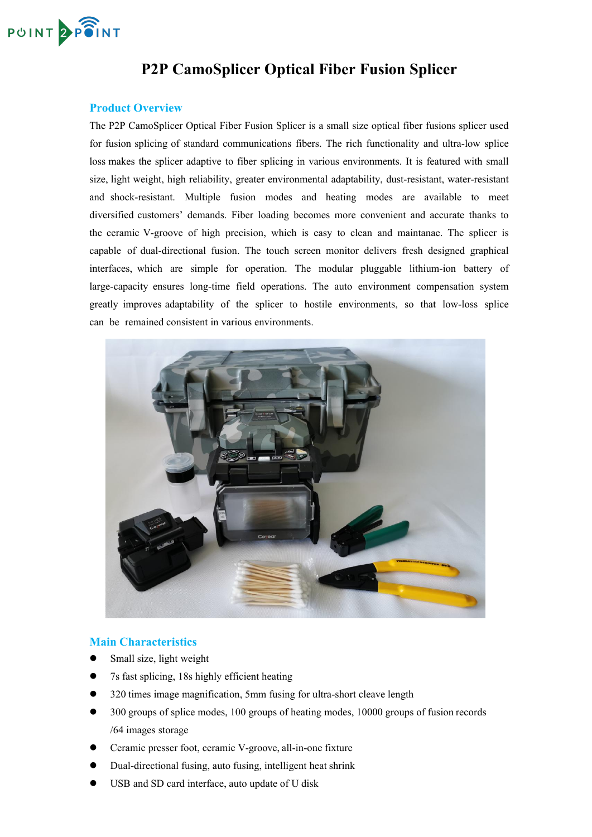

# **P2P CamoSplicer Optical Fiber Fusion Splicer**

### **Product Overview**

The P2P CamoSplicer Optical Fiber Fusion Splicer is a small size optical fiber fusions splicer used for fusion splicing of standard communications fibers. The rich functionality and ultra-low splice loss makes the splicer adaptive to fiber splicing in various environments. It is featured with small size, light weight, high reliability, greater environmental adaptability, dust-resistant, water-resistant and shock-resistant. Multiple fusion modes and heating modes are available to meet diversified customers' demands. Fiber loading becomes more convenient and accurate thanks to the ceramic V-groove of high precision, which is easy to clean and maintanae. The splicer is capable of dual-directional fusion. The touch screen monitor delivers fresh designed graphical interfaces, which are simple for operation. The modular pluggable lithium-ion battery of large-capacity ensures long-time field operations. The auto environment compensation system greatly improves adaptability of the splicer to hostile environments, so that low-loss splice can be remained consistent in various environments.



#### **Main Characteristics**

- Small size, light weight
- 7s fast splicing, 18s highly efficient heating
- 320 times image magnification, 5mm fusing for ultra-short cleave length
- 300 groups of splice modes, 100 groups of heating modes, 10000 groups of fusion records /64 images storage
- Ceramic presser foot, ceramic V-groove, all-in-one fixture
- Dual-directional fusing, auto fusing, intelligent heat shrink
- USB and SD card interface, auto update of U disk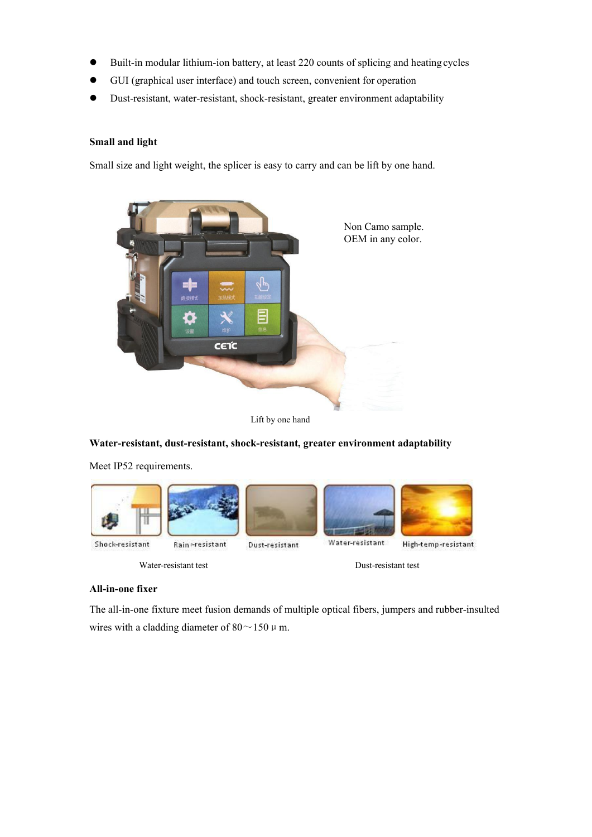- Built-in modular lithium-ion battery, at least 220 counts of splicing and heating cycles
- GUI (graphical user interface) and touch screen, convenient for operation
- Dust-resistant, water-resistant, shock-resistant, greater environment adaptability

#### **Small and light**

Small size and light weight, the splicer is easy to carry and can be lift by one hand.



Lift by one hand

**Water-resistant, dust-resistant, shock-resistant, greater environment adaptability**

Meet IP52 requirements.



Rain eresistant

Dust-resistant



High-temp-resistant

Water-resistant test Dust-resistant test

#### **All-in-one fixer**

The all-in-one fixture meet fusion demands of multiple optical fibers, jumpers and rubber-insulted wires with a cladding diameter of  $80 \sim 150 \mu$  m.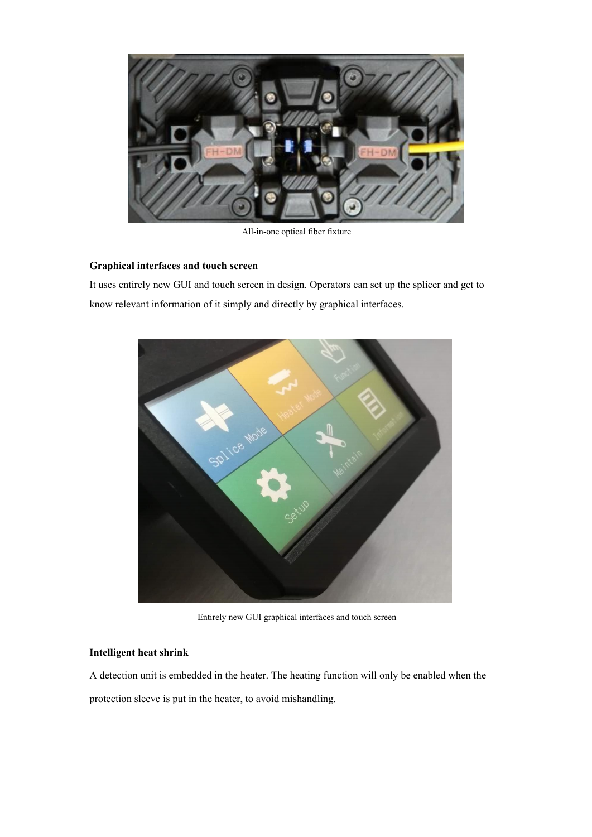

All-in-one optical fiber fixture

#### **Graphical interfaces and touch screen**

It uses entirely new GUI and touch screen in design. Operators can set up the splicer and get to know relevant information of it simply and directly by graphical interfaces.



Entirely new GUI graphical interfaces and touch screen

#### **Intelligent heat shrink**

A detection unit is embedded in the heater. The heating function will only be enabled when the protection sleeve is put in the heater, to avoid mishandling.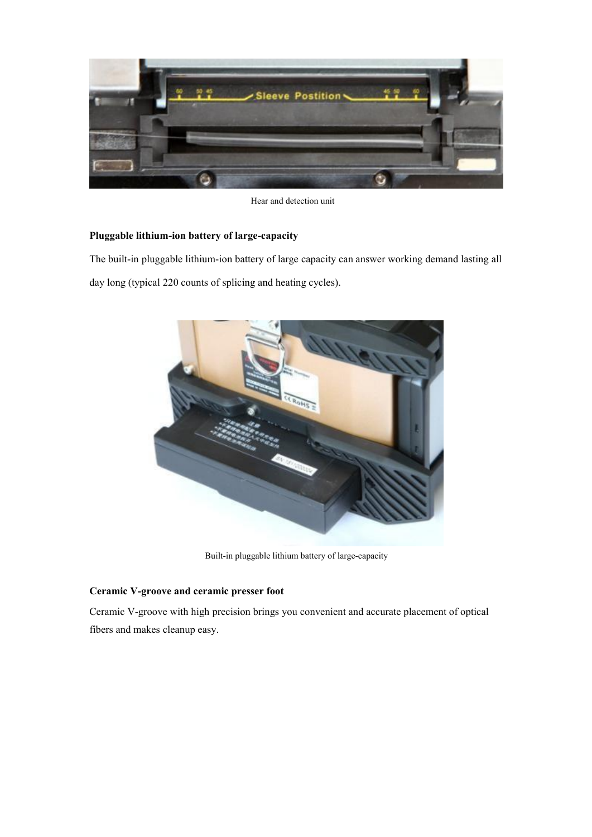

Hear and detection unit

### **Pluggable lithium-ion battery of large-capacity**

The built-in pluggable lithium-ion battery of large capacity can answer working demand lasting all day long (typical 220 counts of splicing and heating cycles).



Built-in pluggable lithium battery of large-capacity

#### **Ceramic V-groove and ceramic presser foot**

Ceramic V-groove with high precision brings you convenient and accurate placement of optical fibers and makes cleanup easy.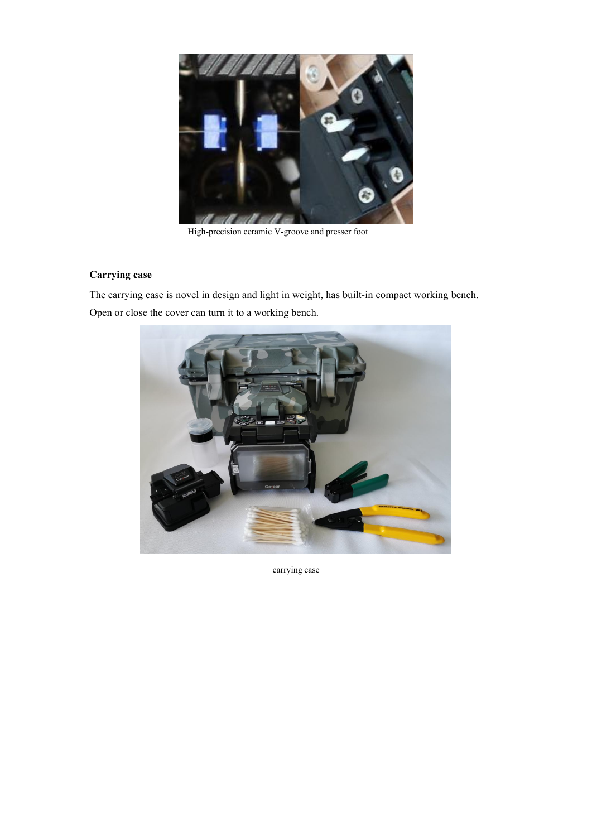

High-precision ceramic V-groove and presser foot

## **Carrying case**

The carrying case is novel in design and light in weight, has built-in compact working bench. Open or close the cover can turn it to a working bench.



carrying case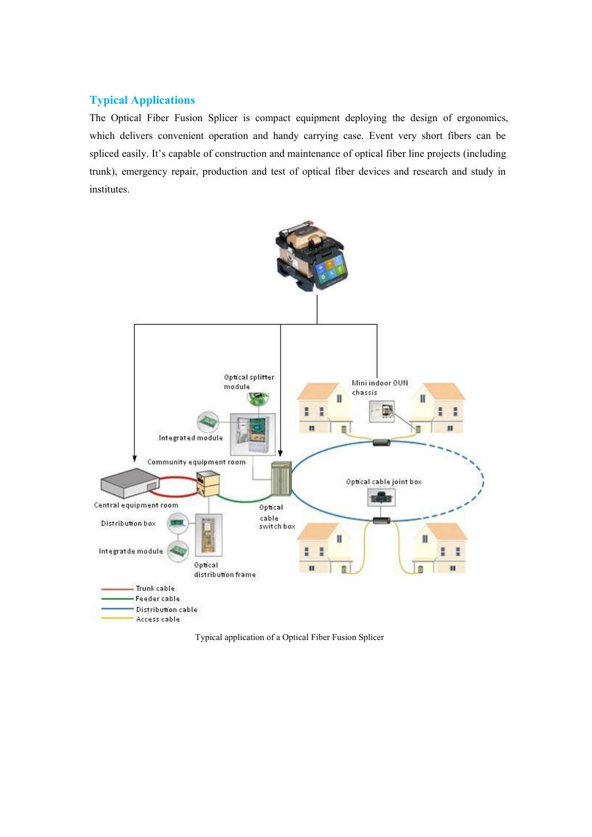### **Typical Applications**

The Optical Fiber Fusion Splicer is compact equipment deploying the design of ergonomics, which delivers convenient operation and handy carrying case. Event very short fibers can be spliced easily. It's capable of construction and maintenance of optical fiber line projects (including trunk), emergency repair, production and test of optical fiber devices and research and study in institutes.



Typical application of a Optical Fiber Fusion Splicer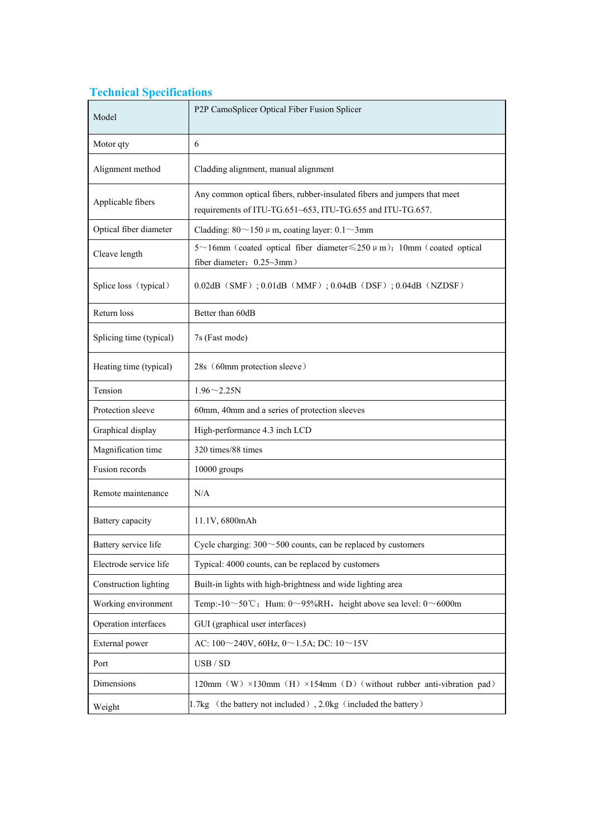# **Technical Specifications**

| Model                                                                                                                                                       | P2P CamoSplicer Optical Fiber Fusion Splicer                                                                 |  |  |
|-------------------------------------------------------------------------------------------------------------------------------------------------------------|--------------------------------------------------------------------------------------------------------------|--|--|
| Motor qty                                                                                                                                                   | 6                                                                                                            |  |  |
| Alignment method                                                                                                                                            | Cladding alignment, manual alignment                                                                         |  |  |
| Any common optical fibers, rubber-insulated fibers and jumpers that meet<br>Applicable fibers<br>requirements of ITU-TG.651~653, ITU-TG.655 and ITU-TG.657. |                                                                                                              |  |  |
| Optical fiber diameter                                                                                                                                      | Cladding: $80 \sim 150 \mu$ m, coating layer: $0.1 \sim 3$ mm                                                |  |  |
| Cleave length                                                                                                                                               | 5~16mm (coated optical fiber diameter $\leq$ 250 $\mu$ m); 10mm (coated optical<br>fiber diameter: 0.25~3mm) |  |  |
| Splice loss (typical)                                                                                                                                       | $0.02$ dB (SMF); $0.01$ dB (MMF); $0.04$ dB (DSF); $0.04$ dB (NZDSF)                                         |  |  |
| Return loss                                                                                                                                                 | Better than 60dB                                                                                             |  |  |
| Splicing time (typical)                                                                                                                                     | 7s (Fast mode)                                                                                               |  |  |
| Heating time (typical)                                                                                                                                      | 28s (60mm protection sleeve)                                                                                 |  |  |
| Tension                                                                                                                                                     | $1.96 - 2.25N$                                                                                               |  |  |
| Protection sleeve                                                                                                                                           | 60mm, 40mm and a series of protection sleeves                                                                |  |  |
| Graphical display                                                                                                                                           | High-performance 4.3 inch LCD                                                                                |  |  |
| Magnification time                                                                                                                                          | 320 times/88 times                                                                                           |  |  |
| Fusion records                                                                                                                                              | 10000 groups                                                                                                 |  |  |
| Remote maintenance                                                                                                                                          | N/A                                                                                                          |  |  |
| Battery capacity                                                                                                                                            | 11.1V, 6800mAh                                                                                               |  |  |
| Battery service life                                                                                                                                        | Cycle charging: $300 \sim 500$ counts, can be replaced by customers                                          |  |  |
| Electrode service life                                                                                                                                      | Typical: 4000 counts, can be replaced by customers                                                           |  |  |
| Construction lighting                                                                                                                                       | Built-in lights with high-brightness and wide lighting area                                                  |  |  |
| Working environment                                                                                                                                         | Temp:-10~50°C; Hum: 0~95%RH, height above sea level: 0~6000m                                                 |  |  |
| Operation interfaces                                                                                                                                        | GUI (graphical user interfaces)                                                                              |  |  |
| External power                                                                                                                                              | AC: $100 \sim 240V$ , $60Hz$ , $0 \sim 1.5A$ ; DC: $10 \sim 15V$                                             |  |  |
| Port                                                                                                                                                        | USB / SD                                                                                                     |  |  |
| Dimensions                                                                                                                                                  | 120mm (W) $\times$ 130mm (H) $\times$ 154mm (D) (without rubber anti-vibration pad)                          |  |  |
| Weight                                                                                                                                                      | 1.7kg (the battery not included), 2.0kg (included the battery)                                               |  |  |